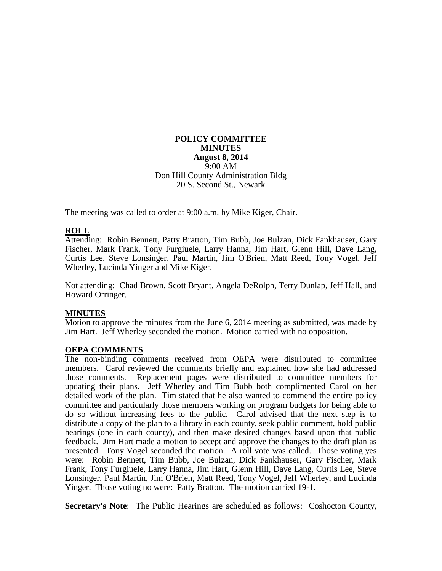### **POLICY COMMITTEE MINUTES August 8, 2014** 9:00 AM Don Hill County Administration Bldg 20 S. Second St., Newark

The meeting was called to order at 9:00 a.m. by Mike Kiger, Chair.

# **ROLL**

Attending: Robin Bennett, Patty Bratton, Tim Bubb, Joe Bulzan, Dick Fankhauser, Gary Fischer, Mark Frank, Tony Furgiuele, Larry Hanna, Jim Hart, Glenn Hill, Dave Lang, Curtis Lee, Steve Lonsinger, Paul Martin, Jim O'Brien, Matt Reed, Tony Vogel, Jeff Wherley, Lucinda Yinger and Mike Kiger.

Not attending: Chad Brown, Scott Bryant, Angela DeRolph, Terry Dunlap, Jeff Hall, and Howard Orringer.

#### **MINUTES**

Motion to approve the minutes from the June 6, 2014 meeting as submitted, was made by Jim Hart. Jeff Wherley seconded the motion. Motion carried with no opposition.

#### **OEPA COMMENTS**

The non-binding comments received from OEPA were distributed to committee members. Carol reviewed the comments briefly and explained how she had addressed those comments. Replacement pages were distributed to committee members for updating their plans. Jeff Wherley and Tim Bubb both complimented Carol on her detailed work of the plan. Tim stated that he also wanted to commend the entire policy committee and particularly those members working on program budgets for being able to do so without increasing fees to the public. Carol advised that the next step is to distribute a copy of the plan to a library in each county, seek public comment, hold public hearings (one in each county), and then make desired changes based upon that public feedback. Jim Hart made a motion to accept and approve the changes to the draft plan as presented. Tony Vogel seconded the motion. A roll vote was called. Those voting yes were: Robin Bennett, Tim Bubb, Joe Bulzan, Dick Fankhauser, Gary Fischer, Mark Frank, Tony Furgiuele, Larry Hanna, Jim Hart, Glenn Hill, Dave Lang, Curtis Lee, Steve Lonsinger, Paul Martin, Jim O'Brien, Matt Reed, Tony Vogel, Jeff Wherley, and Lucinda Yinger. Those voting no were: Patty Bratton. The motion carried 19-1.

**Secretary's Note**: The Public Hearings are scheduled as follows: Coshocton County,